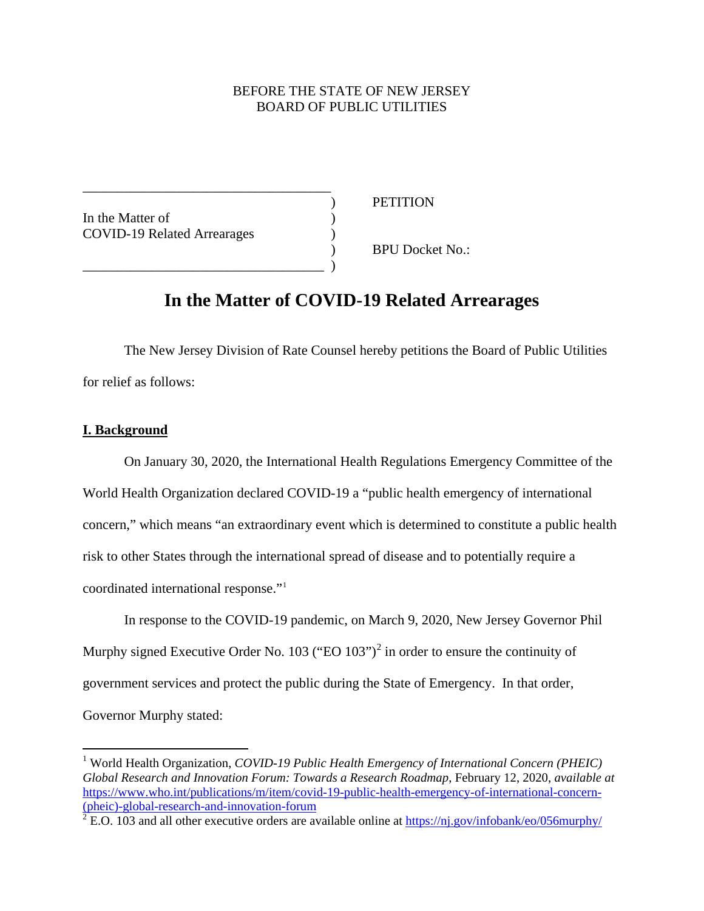## BEFORE THE STATE OF NEW JERSEY BOARD OF PUBLIC UTILITIES

In the Matter of ) COVID-19 Related Arrearages )

\_\_\_\_\_\_\_\_\_\_\_\_\_\_\_\_\_\_\_\_\_\_\_\_\_\_\_\_\_\_\_\_\_\_\_\_

\_\_\_\_\_\_\_\_\_\_\_\_\_\_\_\_\_\_\_\_\_\_\_\_\_\_\_\_\_\_\_\_\_\_\_ )

) PETITION

) BPU Docket No.:

# **In the Matter of COVID-19 Related Arrearages**

The New Jersey Division of Rate Counsel hereby petitions the Board of Public Utilities for relief as follows:

## **I. Background**

 $\overline{a}$ 

On January 30, 2020, the International Health Regulations Emergency Committee of the World Health Organization declared COVID-19 a "public health emergency of international concern," which means "an extraordinary event which is determined to constitute a public health risk to other States through the international spread of disease and to potentially require a coordinated international response."[1](#page-0-0)

In response to the COVID-19 pandemic, on March 9, 2020, New Jersey Governor Phil Murphy signed Executive Order No. 103 ("EO  $103"$ )<sup>[2](#page-0-1)</sup> in order to ensure the continuity of government services and protect the public during the State of Emergency. In that order, Governor Murphy stated:

<span id="page-0-0"></span><sup>&</sup>lt;sup>1</sup> World Health Organization, *COVID-19 Public Health Emergency of International Concern (PHEIC) Global Research and Innovation Forum: Towards a Research Roadmap*, February 12, 2020, *available at*  [https://www.who.int/publications/m/item/covid-19-public-health-emergency-of-international-concern-](https://www.who.int/publications/m/item/covid-19-public-health-emergency-of-international-concern-(pheic)-global-research-and-innovation-forum) [\(pheic\)-global-research-and-innovation-forum](https://www.who.int/publications/m/item/covid-19-public-health-emergency-of-international-concern-(pheic)-global-research-and-innovation-forum)

<span id="page-0-1"></span> $\frac{2 \text{ E.O. 103}}{2 \text{ E.O. 103}}$  and all other executive orders are available online at<https://nj.gov/infobank/eo/056murphy/>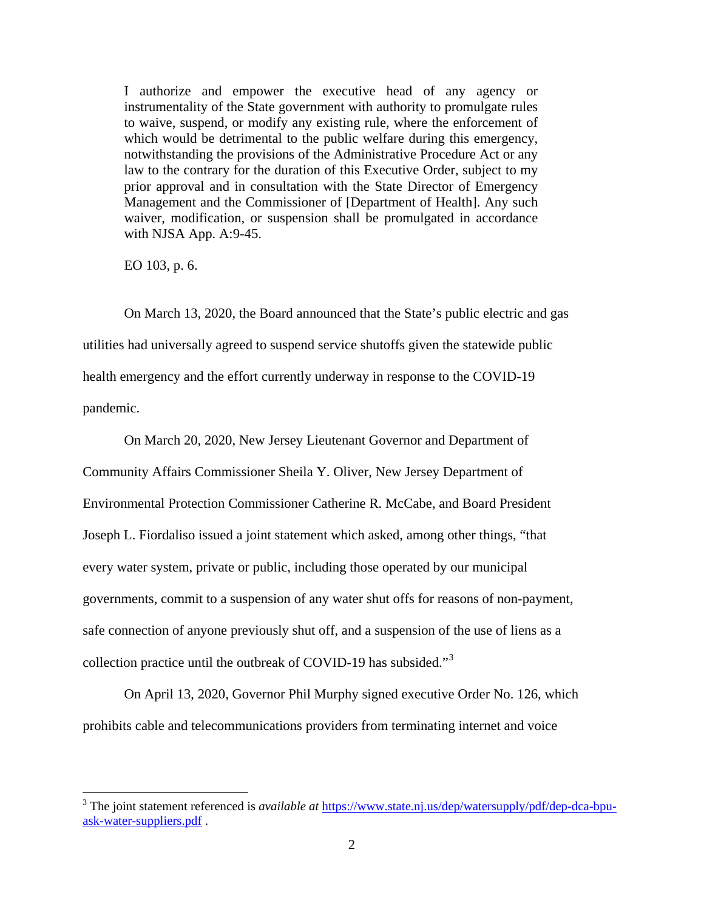I authorize and empower the executive head of any agency or instrumentality of the State government with authority to promulgate rules to waive, suspend, or modify any existing rule, where the enforcement of which would be detrimental to the public welfare during this emergency, notwithstanding the provisions of the Administrative Procedure Act or any law to the contrary for the duration of this Executive Order, subject to my prior approval and in consultation with the State Director of Emergency Management and the Commissioner of [Department of Health]. Any such waiver, modification, or suspension shall be promulgated in accordance with NJSA App. A:9-45.

EO 103, p. 6.

 $\overline{a}$ 

On March 13, 2020, the Board announced that the State's public electric and gas utilities had universally agreed to suspend service shutoffs given the statewide public health emergency and the effort currently underway in response to the COVID-19 pandemic.

On March 20, 2020, New Jersey Lieutenant Governor and Department of Community Affairs Commissioner Sheila Y. Oliver, New Jersey Department of Environmental Protection Commissioner Catherine R. McCabe, and Board President Joseph L. Fiordaliso issued a joint statement which asked, among other things, "that every water system, private or public, including those operated by our municipal governments, commit to a suspension of any water shut offs for reasons of non-payment, safe connection of anyone previously shut off, and a suspension of the use of liens as a collection practice until the outbreak of COVID-19 has subsided."[3](#page-1-0)

On April 13, 2020, Governor Phil Murphy signed executive Order No. 126, which prohibits cable and telecommunications providers from terminating internet and voice

<span id="page-1-0"></span><sup>3</sup> The joint statement referenced is *available at* [https://www.state.nj.us/dep/watersupply/pdf/dep-dca-bpu](https://www.state.nj.us/dep/watersupply/pdf/dep-dca-bpu-ask-water-suppliers.pdf)[ask-water-suppliers.pdf](https://www.state.nj.us/dep/watersupply/pdf/dep-dca-bpu-ask-water-suppliers.pdf) .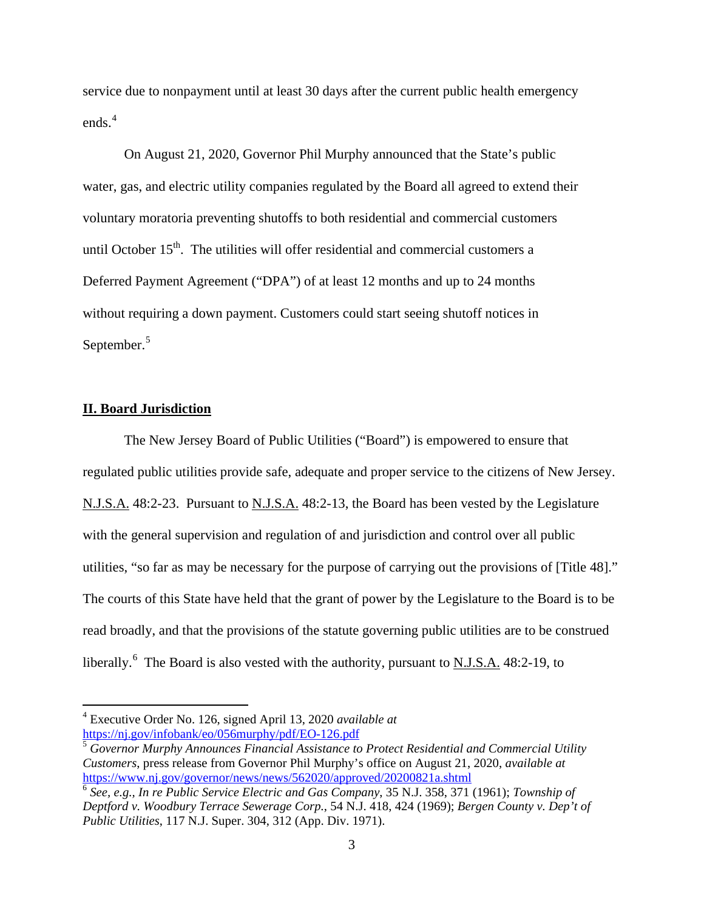service due to nonpayment until at least 30 days after the current public health emergency ends.<sup>[4](#page-2-0)</sup>

On August 21, 2020, Governor Phil Murphy announced that the State's public water, gas, and electric utility companies regulated by the Board all agreed to extend their voluntary moratoria preventing shutoffs to both residential and commercial customers until October  $15<sup>th</sup>$ . The utilities will offer residential and commercial customers a Deferred Payment Agreement ("DPA") of at least 12 months and up to 24 months without requiring a down payment. Customers could start seeing shutoff notices in September.<sup>[5](#page-2-1)</sup>

## **II. Board Jurisdiction**

 $\overline{a}$ 

The New Jersey Board of Public Utilities ("Board") is empowered to ensure that regulated public utilities provide safe, adequate and proper service to the citizens of New Jersey. N.J.S.A. 48:2-23. Pursuant to N.J.S.A. 48:2-13, the Board has been vested by the Legislature with the general supervision and regulation of and jurisdiction and control over all public utilities, "so far as may be necessary for the purpose of carrying out the provisions of [Title 48]." The courts of this State have held that the grant of power by the Legislature to the Board is to be read broadly, and that the provisions of the statute governing public utilities are to be construed liberally.<sup>[6](#page-2-2)</sup> The Board is also vested with the authority, pursuant to N.J.S.A. 48:2-19, to

<span id="page-2-0"></span><sup>4</sup> Executive Order No. 126, signed April 13, 2020 *available at* <https://nj.gov/infobank/eo/056murphy/pdf/EO-126.pdf>

<span id="page-2-1"></span><sup>5</sup> *Governor Murphy Announces Financial Assistance to Protect Residential and Commercial Utility Customers*, press release from Governor Phil Murphy's office on August 21, 2020, *available at* <https://www.nj.gov/governor/news/news/562020/approved/20200821a.shtml>

<span id="page-2-2"></span><sup>6</sup> *See, e.g., In re Public Service Electric and Gas Company*, 35 N.J. 358, 371 (1961); *Township of Deptford v. Woodbury Terrace Sewerage Corp.*, 54 N.J. 418, 424 (1969); *Bergen County v. Dep't of Public Utilities*, 117 N.J. Super. 304, 312 (App. Div. 1971).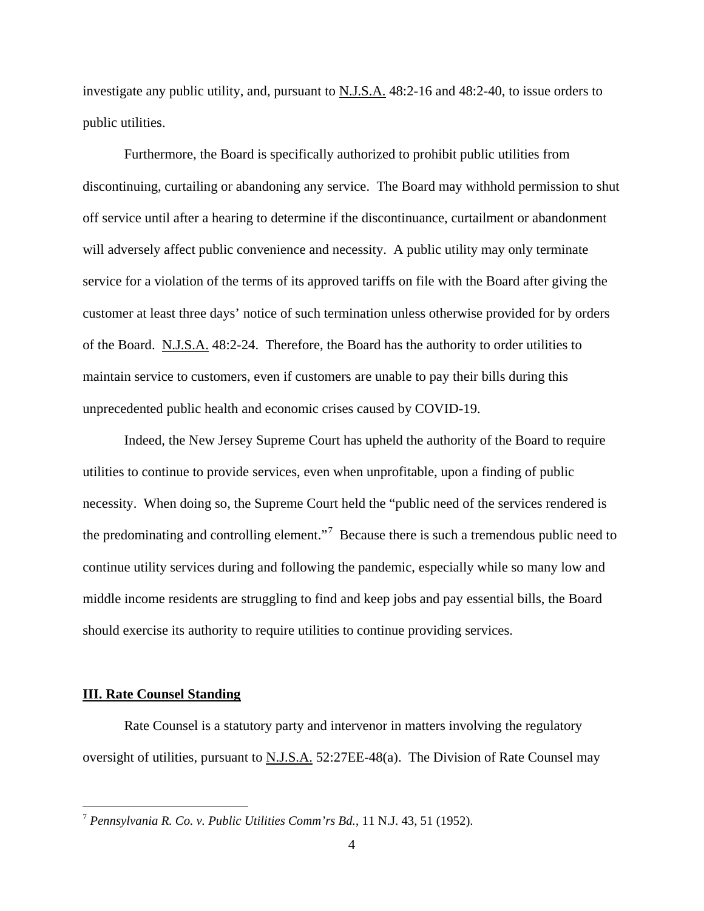investigate any public utility, and, pursuant to N.J.S.A. 48:2-16 and 48:2-40, to issue orders to public utilities.

Furthermore, the Board is specifically authorized to prohibit public utilities from discontinuing, curtailing or abandoning any service. The Board may withhold permission to shut off service until after a hearing to determine if the discontinuance, curtailment or abandonment will adversely affect public convenience and necessity. A public utility may only terminate service for a violation of the terms of its approved tariffs on file with the Board after giving the customer at least three days' notice of such termination unless otherwise provided for by orders of the Board. N.J.S.A. 48:2-24. Therefore, the Board has the authority to order utilities to maintain service to customers, even if customers are unable to pay their bills during this unprecedented public health and economic crises caused by COVID-19.

Indeed, the New Jersey Supreme Court has upheld the authority of the Board to require utilities to continue to provide services, even when unprofitable, upon a finding of public necessity. When doing so, the Supreme Court held the "public need of the services rendered is the predominating and controlling element."<sup>[7](#page-3-0)</sup> Because there is such a tremendous public need to continue utility services during and following the pandemic, especially while so many low and middle income residents are struggling to find and keep jobs and pay essential bills, the Board should exercise its authority to require utilities to continue providing services.

## **III. Rate Counsel Standing**

 $\overline{a}$ 

Rate Counsel is a statutory party and intervenor in matters involving the regulatory oversight of utilities, pursuant to N.J.S.A. 52:27EE-48(a). The Division of Rate Counsel may

<span id="page-3-0"></span><sup>7</sup> *Pennsylvania R. Co. v. Public Utilities Comm'rs Bd.*, 11 N.J. 43, 51 (1952).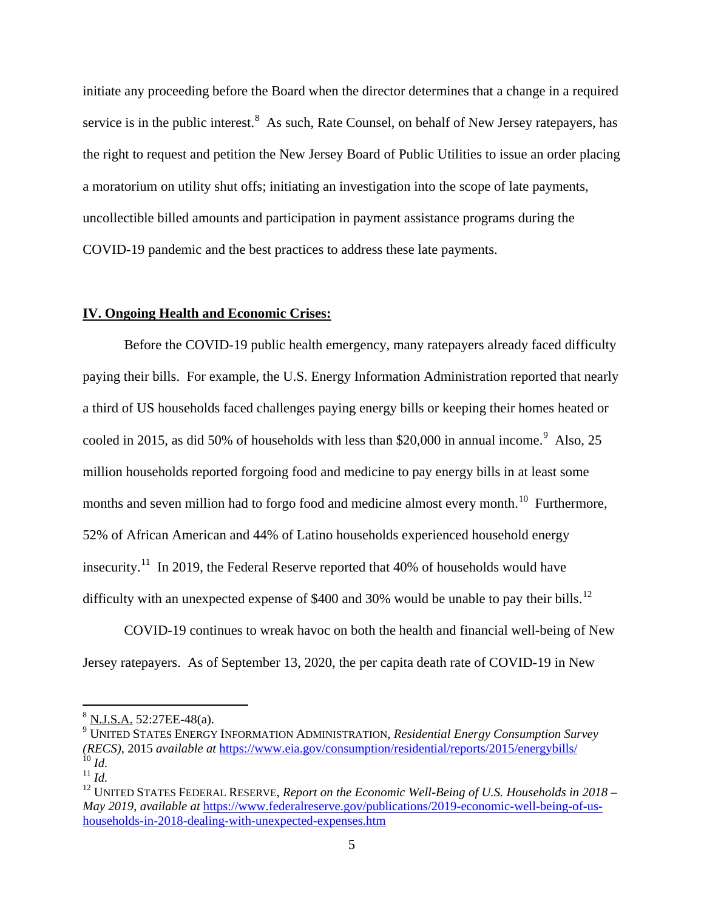initiate any proceeding before the Board when the director determines that a change in a required service is in the public interest.<sup>[8](#page-4-0)</sup> As such, Rate Counsel, on behalf of New Jersey ratepayers, has the right to request and petition the New Jersey Board of Public Utilities to issue an order placing a moratorium on utility shut offs; initiating an investigation into the scope of late payments, uncollectible billed amounts and participation in payment assistance programs during the COVID-19 pandemic and the best practices to address these late payments.

## **IV. Ongoing Health and Economic Crises:**

Before the COVID-19 public health emergency, many ratepayers already faced difficulty paying their bills. For example, the U.S. Energy Information Administration reported that nearly a third of US households faced challenges paying energy bills or keeping their homes heated or cooled in 2015, as did 50% of households with less than \$20,000 in annual income.<sup>[9](#page-4-1)</sup> Also, 25 million households reported forgoing food and medicine to pay energy bills in at least some months and seven million had to forgo food and medicine almost every month.<sup>[10](#page-4-2)</sup> Furthermore, 52% of African American and 44% of Latino households experienced household energy insecurity.<sup>[11](#page-4-3)</sup> In 2019, the Federal Reserve reported that 40% of households would have difficulty with an unexpected expense of \$400 and 30% would be unable to pay their bills.<sup>[12](#page-4-4)</sup>

COVID-19 continues to wreak havoc on both the health and financial well-being of New Jersey ratepayers. As of September 13, 2020, the per capita death rate of COVID-19 in New

<span id="page-4-0"></span> $8$  N.J.S.A. 52:27EE-48(a).

<span id="page-4-1"></span><sup>9</sup> UNITED STATES ENERGY INFORMATION ADMINISTRATION, *Residential Energy Consumption Survey (RECS)*, 2015 *available at* <https://www.eia.gov/consumption/residential/reports/2015/energybills/>  $^{10}$  *Id.* 

<span id="page-4-3"></span><span id="page-4-2"></span><sup>11</sup> *Id.*

<span id="page-4-4"></span><sup>&</sup>lt;sup>12</sup> UNITED STATES FEDERAL RESERVE, *Report on the Economic Well-Being of U.S. Households in 2018 – May 2019*, *available at* [https://www.federalreserve.gov/publications/2019-economic-well-being-of-us](https://www.federalreserve.gov/publications/2019-economic-well-being-of-us-households-in-2018-dealing-with-unexpected-expenses.htm)[households-in-2018-dealing-with-unexpected-expenses.htm](https://www.federalreserve.gov/publications/2019-economic-well-being-of-us-households-in-2018-dealing-with-unexpected-expenses.htm)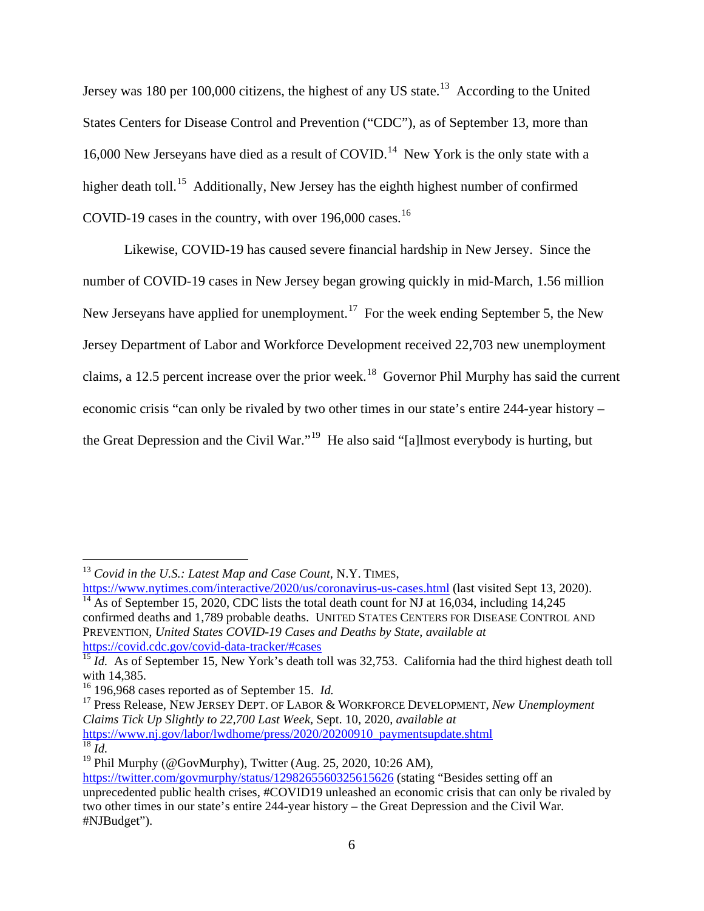Jersey was 180 per 100,000 citizens, the highest of any US state.<sup>[13](#page-5-0)</sup> According to the United States Centers for Disease Control and Prevention ("CDC"), as of September 13, more than 16,000 New Jerseyans have died as a result of COVID.<sup>[14](#page-5-1)</sup> New York is the only state with a higher death toll.<sup>[15](#page-5-2)</sup> Additionally, New Jersey has the eighth highest number of confirmed COVID-19 cases in the country, with over  $196,000$  cases.<sup>[16](#page-5-3)</sup>

Likewise, COVID-19 has caused severe financial hardship in New Jersey. Since the number of COVID-19 cases in New Jersey began growing quickly in mid-March, 1.56 million New Jerseyans have applied for unemployment.<sup>[17](#page-5-4)</sup> For the week ending September 5, the New Jersey Department of Labor and Workforce Development received 22,703 new unemployment claims, a 12.5 percent increase over the prior week.<sup>[18](#page-5-5)</sup> Governor Phil Murphy has said the current economic crisis "can only be rivaled by two other times in our state's entire 244-year history – the Great Depression and the Civil War."<sup>[19](#page-5-6)</sup> He also said "[a]lmost everybody is hurting, but

<span id="page-5-0"></span><sup>13</sup> *Covid in the U.S.: Latest Map and Case Count*, N.Y. TIMES,

<span id="page-5-1"></span><https://www.nytimes.com/interactive/2020/us/coronavirus-us-cases.html> (last visited Sept 13, 2020).  $\frac{14}{14}$  As of September 15, 2020, CDC lists the total death count for NJ at 16,034, including 14,245 confirmed deaths and 1,789 probable deaths. UNITED STATES CENTERS FOR DISEASE CONTROL AND PREVENTION, *United States COVID-19 Cases and Deaths by State*, *available at* <https://covid.cdc.gov/covid-data-tracker/#cases>

<span id="page-5-2"></span><sup>&</sup>lt;sup>15</sup> *Id.* As of September 15, New York's death toll was 32,753. California had the third highest death toll with 14,385.

<sup>16</sup> 196,968 cases reported as of September 15. *Id.*

<span id="page-5-4"></span><span id="page-5-3"></span><sup>17</sup> Press Release, NEW JERSEY DEPT. OF LABOR & WORKFORCE DEVELOPMENT, *New Unemployment Claims Tick Up Slightly to 22,700 Last Week,* Sept. 10, 2020, *available at*  [https://www.nj.gov/labor/lwdhome/press/2020/20200910\\_paymentsupdate.shtml](https://www.nj.gov/labor/lwdhome/press/2020/20200910_paymentsupdate.shtml)  $\overline{^{18}$  *Id.* 

<span id="page-5-6"></span><span id="page-5-5"></span><sup>&</sup>lt;sup>19</sup> Phil Murphy (@GovMurphy), Twitter (Aug. 25, 2020, 10:26 AM),

<https://twitter.com/govmurphy/status/1298265560325615626> (stating "Besides setting off an unprecedented public health crises, #COVID19 unleashed an economic crisis that can only be rivaled by two other times in our state's entire 244-year history – the Great Depression and the Civil War. #NJBudget").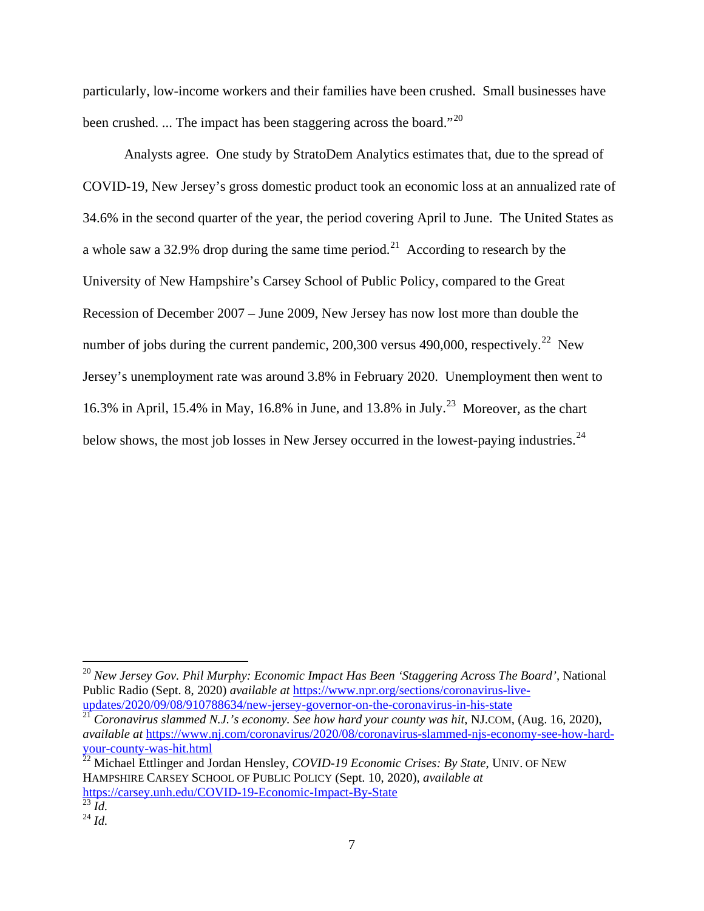particularly, low-income workers and their families have been crushed. Small businesses have been crushed. ... The impact has been staggering across the board."<sup>[20](#page-6-0)</sup>

Analysts agree. One study by StratoDem Analytics estimates that, due to the spread of COVID-19, New Jersey's gross domestic product took an economic loss at an annualized rate of 34.6% in the second quarter of the year, the period covering April to June. The United States as a whole saw a 32.9% drop during the same time period.<sup>[21](#page-6-1)</sup> According to research by the University of New Hampshire's Carsey School of Public Policy, compared to the Great Recession of December 2007 – June 2009, New Jersey has now lost more than double the number of jobs during the current pandemic,  $200,300$  versus 490,000, respectively.<sup>[22](#page-6-2)</sup> New Jersey's unemployment rate was around 3.8% in February 2020. Unemployment then went to 16.3% in April, 15.4% in May, 16.8% in June, and 13.8% in July.<sup>[23](#page-6-3)</sup> Moreover, as the chart below shows, the most job losses in New Jersey occurred in the lowest-paying industries.<sup>[24](#page-6-4)</sup>

<span id="page-6-0"></span><sup>20</sup> *New Jersey Gov. Phil Murphy: Economic Impact Has Been 'Staggering Across The Board'*, National Public Radio (Sept. 8, 2020) *available at* [https://www.npr.org/sections/coronavirus-live](https://www.npr.org/sections/coronavirus-live-updates/2020/09/08/910788634/new-jersey-governor-on-the-coronavirus-in-his-state)[updates/2020/09/08/910788634/new-jersey-governor-on-the-coronavirus-in-his-state](https://www.npr.org/sections/coronavirus-live-updates/2020/09/08/910788634/new-jersey-governor-on-the-coronavirus-in-his-state)

<span id="page-6-1"></span><sup>21</sup> *Coronavirus slammed N.J.'s economy. See how hard your county was hit*, NJ.COM, (Aug. 16, 2020), *available at* [https://www.nj.com/coronavirus/2020/08/coronavirus-slammed-njs-economy-see-how-hard](https://www.nj.com/coronavirus/2020/08/coronavirus-slammed-njs-economy-see-how-hard-your-county-was-hit.html)[your-county-was-hit.html](https://www.nj.com/coronavirus/2020/08/coronavirus-slammed-njs-economy-see-how-hard-your-county-was-hit.html)

<span id="page-6-2"></span><sup>&</sup>lt;sup>22</sup> Michael Ettlinger and Jordan Hensley, *COVID-19 Economic Crises: By State*, UNIV. OF NEW HAMPSHIRE CARSEY SCHOOL OF PUBLIC POLICY (Sept. 10, 2020), *available at* <https://carsey.unh.edu/COVID-19-Economic-Impact-By-State>

<span id="page-6-3"></span> $\frac{164}{23}$ *Id.* 

<span id="page-6-4"></span> $^{24}$  *Id.*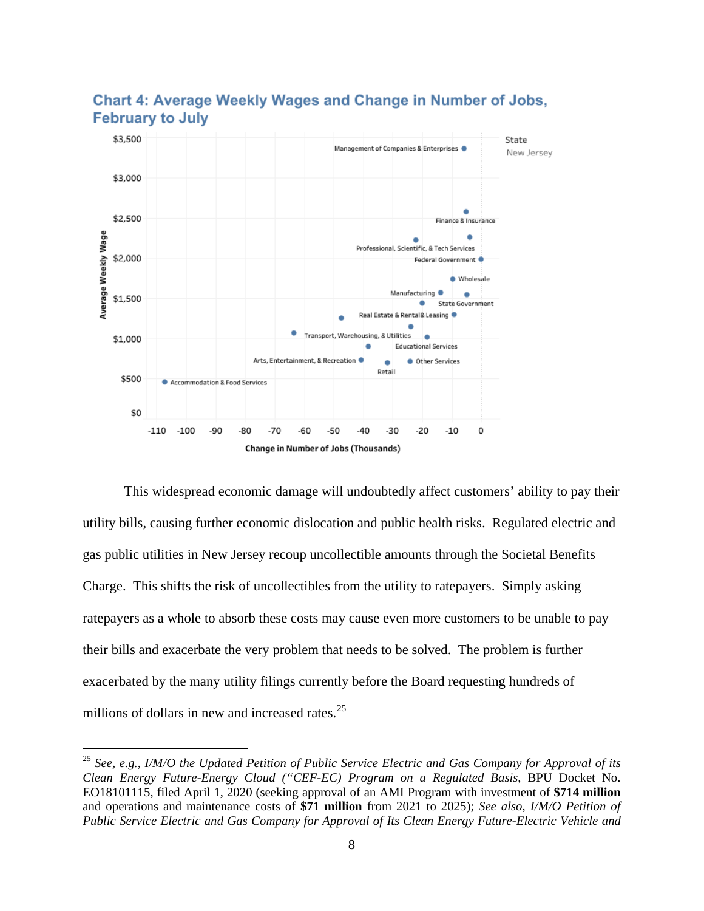

## **Chart 4: Average Weekly Wages and Change in Number of Jobs, February to July**

This widespread economic damage will undoubtedly affect customers' ability to pay their utility bills, causing further economic dislocation and public health risks. Regulated electric and gas public utilities in New Jersey recoup uncollectible amounts through the Societal Benefits Charge. This shifts the risk of uncollectibles from the utility to ratepayers. Simply asking ratepayers as a whole to absorb these costs may cause even more customers to be unable to pay their bills and exacerbate the very problem that needs to be solved. The problem is further exacerbated by the many utility filings currently before the Board requesting hundreds of millions of dollars in new and increased rates.<sup>[25](#page-7-0)</sup>

<span id="page-7-0"></span><sup>25</sup> *See, e.g.*, *I/M/O the Updated Petition of Public Service Electric and Gas Company for Approval of its Clean Energy Future-Energy Cloud ("CEF-EC) Program on a Regulated Basis*, BPU Docket No. EO18101115, filed April 1, 2020 (seeking approval of an AMI Program with investment of **\$714 million** and operations and maintenance costs of **\$71 million** from 2021 to 2025); *See also*, *I/M/O Petition of Public Service Electric and Gas Company for Approval of Its Clean Energy Future-Electric Vehicle and*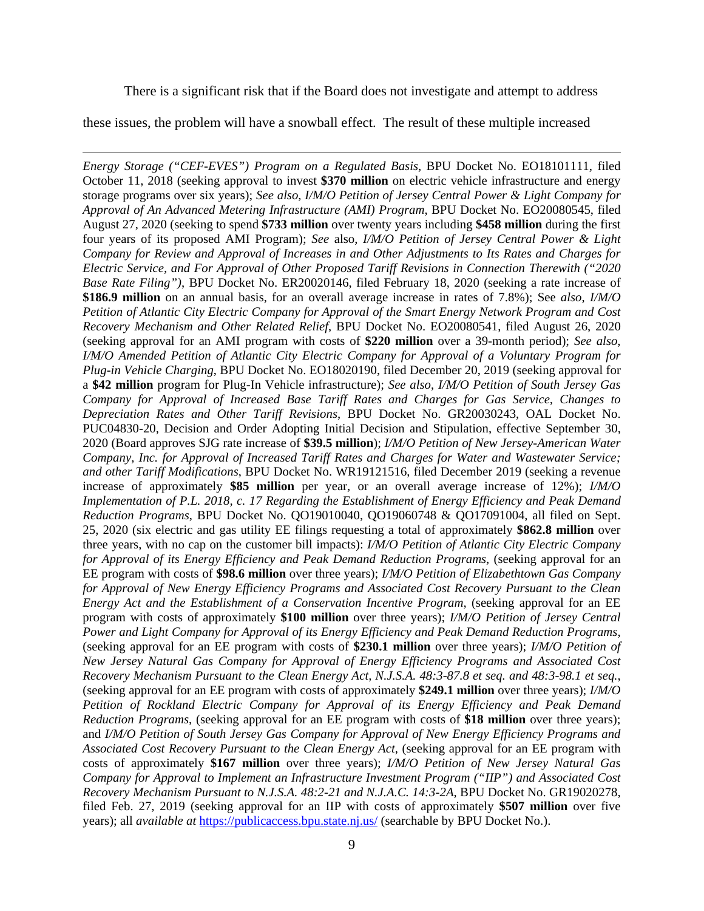There is a significant risk that if the Board does not investigate and attempt to address

these issues, the problem will have a snowball effect. The result of these multiple increased

 $\overline{a}$ 

*Energy Storage ("CEF-EVES") Program on a Regulated Basis*, BPU Docket No. EO18101111, filed October 11, 2018 (seeking approval to invest **\$370 million** on electric vehicle infrastructure and energy storage programs over six years); *See also*, *I/M/O Petition of Jersey Central Power & Light Company for Approval of An Advanced Metering Infrastructure (AMI) Program*, BPU Docket No. EO20080545, filed August 27, 2020 (seeking to spend **\$733 million** over twenty years including **\$458 million** during the first four years of its proposed AMI Program); *See* also, *I/M/O Petition of Jersey Central Power & Light Company for Review and Approval of Increases in and Other Adjustments to Its Rates and Charges for Electric Service, and For Approval of Other Proposed Tariff Revisions in Connection Therewith ("2020 Base Rate Filing")*, BPU Docket No. ER20020146, filed February 18, 2020 (seeking a rate increase of **\$186.9 million** on an annual basis, for an overall average increase in rates of 7.8%); See *also*, *I/M/O Petition of Atlantic City Electric Company for Approval of the Smart Energy Network Program and Cost Recovery Mechanism and Other Related Relief*, BPU Docket No. EO20080541, filed August 26, 2020 (seeking approval for an AMI program with costs of **\$220 million** over a 39-month period); *See also*, *I/M/O Amended Petition of Atlantic City Electric Company for Approval of a Voluntary Program for Plug-in Vehicle Charging*, BPU Docket No. EO18020190, filed December 20, 2019 (seeking approval for a **\$42 million** program for Plug-In Vehicle infrastructure); *See also*, *I/M/O Petition of South Jersey Gas Company for Approval of Increased Base Tariff Rates and Charges for Gas Service, Changes to Depreciation Rates and Other Tariff Revisions*, BPU Docket No. GR20030243, OAL Docket No. PUC04830-20, Decision and Order Adopting Initial Decision and Stipulation, effective September 30, 2020 (Board approves SJG rate increase of **\$39.5 million**); *I/M/O Petition of New Jersey-American Water Company, Inc. for Approval of Increased Tariff Rates and Charges for Water and Wastewater Service; and other Tariff Modifications*, BPU Docket No. WR19121516, filed December 2019 (seeking a revenue increase of approximately **\$85 million** per year, or an overall average increase of 12%); *I/M/O Implementation of P.L. 2018, c. 17 Regarding the Establishment of Energy Efficiency and Peak Demand Reduction Programs*, BPU Docket No. QO19010040, QO19060748 & QO17091004, all filed on Sept. 25, 2020 (six electric and gas utility EE filings requesting a total of approximately **\$862.8 million** over three years, with no cap on the customer bill impacts): *I/M/O Petition of Atlantic City Electric Company for Approval of its Energy Efficiency and Peak Demand Reduction Programs*, (seeking approval for an EE program with costs of **\$98.6 million** over three years); *I/M/O Petition of Elizabethtown Gas Company for Approval of New Energy Efficiency Programs and Associated Cost Recovery Pursuant to the Clean Energy Act and the Establishment of a Conservation Incentive Program*, (seeking approval for an EE program with costs of approximately **\$100 million** over three years); *I/M/O Petition of Jersey Central Power and Light Company for Approval of its Energy Efficiency and Peak Demand Reduction Programs*, (seeking approval for an EE program with costs of **\$230.1 million** over three years); *I/M/O Petition of New Jersey Natural Gas Company for Approval of Energy Efficiency Programs and Associated Cost Recovery Mechanism Pursuant to the Clean Energy Act, N.J.S.A. 48:3-87.8 et seq. and 48:3-98.1 et seq.*, (seeking approval for an EE program with costs of approximately **\$249.1 million** over three years); *I/M/O Petition of Rockland Electric Company for Approval of its Energy Efficiency and Peak Demand Reduction Programs*, (seeking approval for an EE program with costs of **\$18 million** over three years); and *I/M/O Petition of South Jersey Gas Company for Approval of New Energy Efficiency Programs and Associated Cost Recovery Pursuant to the Clean Energy Act*, (seeking approval for an EE program with costs of approximately **\$167 million** over three years); *I/M/O Petition of New Jersey Natural Gas Company for Approval to Implement an Infrastructure Investment Program ("IIP") and Associated Cost Recovery Mechanism Pursuant to N.J.S.A. 48:2-21 and N.J.A.C. 14:3-2A*, BPU Docket No. GR19020278, filed Feb. 27, 2019 (seeking approval for an IIP with costs of approximately **\$507 million** over five years); all *available at* <https://publicaccess.bpu.state.nj.us/> (searchable by BPU Docket No.).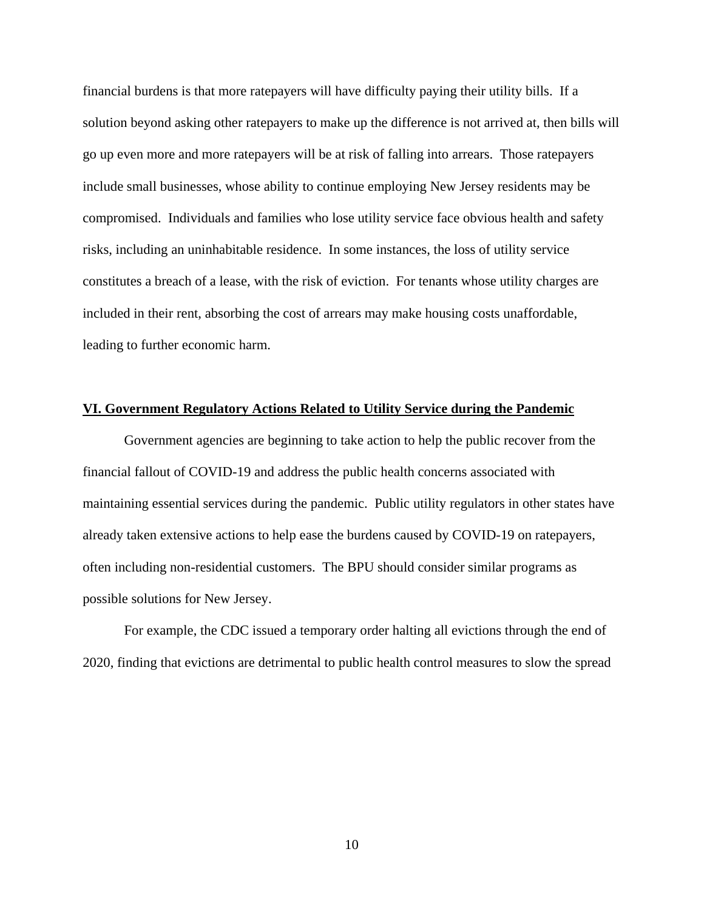financial burdens is that more ratepayers will have difficulty paying their utility bills. If a solution beyond asking other ratepayers to make up the difference is not arrived at, then bills will go up even more and more ratepayers will be at risk of falling into arrears. Those ratepayers include small businesses, whose ability to continue employing New Jersey residents may be compromised. Individuals and families who lose utility service face obvious health and safety risks, including an uninhabitable residence. In some instances, the loss of utility service constitutes a breach of a lease, with the risk of eviction. For tenants whose utility charges are included in their rent, absorbing the cost of arrears may make housing costs unaffordable, leading to further economic harm.

#### **VI. Government Regulatory Actions Related to Utility Service during the Pandemic**

Government agencies are beginning to take action to help the public recover from the financial fallout of COVID-19 and address the public health concerns associated with maintaining essential services during the pandemic. Public utility regulators in other states have already taken extensive actions to help ease the burdens caused by COVID-19 on ratepayers, often including non-residential customers. The BPU should consider similar programs as possible solutions for New Jersey.

For example, the CDC issued a temporary order halting all evictions through the end of 2020, finding that evictions are detrimental to public health control measures to slow the spread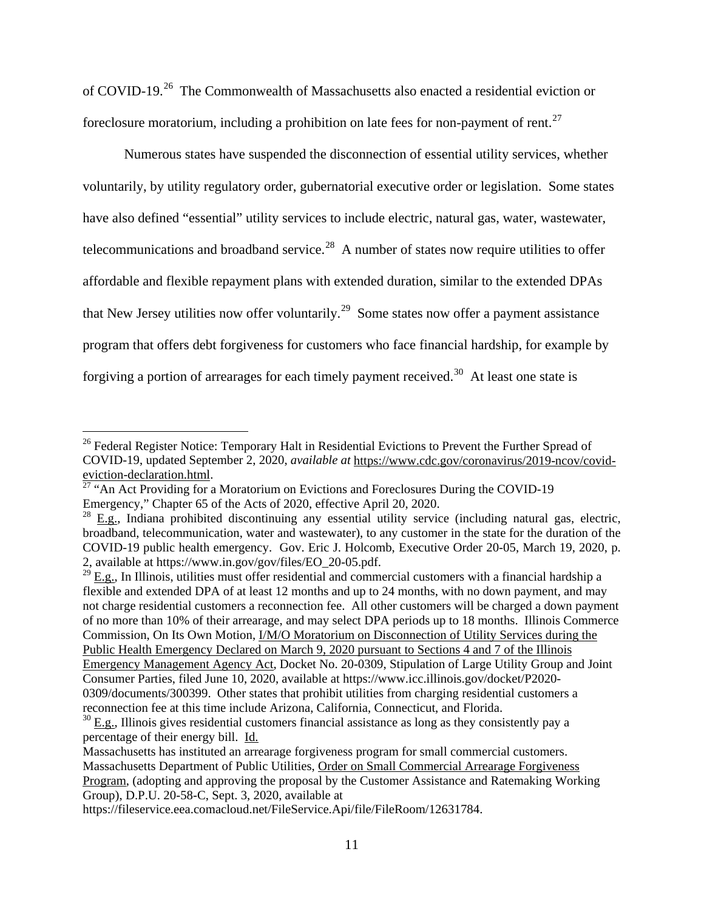of COVID-19.[26](#page-10-0) The Commonwealth of Massachusetts also enacted a residential eviction or foreclosure moratorium, including a prohibition on late fees for non-payment of rent.[27](#page-10-1)

Numerous states have suspended the disconnection of essential utility services, whether voluntarily, by utility regulatory order, gubernatorial executive order or legislation. Some states have also defined "essential" utility services to include electric, natural gas, water, wastewater, telecommunications and broadband service.<sup>[28](#page-10-2)</sup> A number of states now require utilities to offer affordable and flexible repayment plans with extended duration, similar to the extended DPAs that New Jersey utilities now offer voluntarily.<sup>[29](#page-10-3)</sup> Some states now offer a payment assistance program that offers debt forgiveness for customers who face financial hardship, for example by forgiving a portion of arrearages for each timely payment received.<sup>[30](#page-10-4)</sup> At least one state is

 $\overline{a}$ 

<span id="page-10-3"></span>flexible and extended DPA of at least 12 months and up to 24 months, with no down payment, and may not charge residential customers a reconnection fee. All other customers will be charged a down payment of no more than 10% of their arrearage, and may select DPA periods up to 18 months. Illinois Commerce Commission, On Its Own Motion, I/M/O Moratorium on Disconnection of Utility Services during the Public Health Emergency Declared on March 9, 2020 pursuant to Sections 4 and 7 of the Illinois Emergency Management Agency Act, Docket No. 20-0309, Stipulation of Large Utility Group and Joint Consumer Parties, filed June 10, 2020, available at [https://www.icc.illinois.gov/docket/P2020-](https://www.icc.illinois.gov/docket/P2020-0309/documents/300399) [0309/documents/300399.](https://www.icc.illinois.gov/docket/P2020-0309/documents/300399) Other states that prohibit utilities from charging residential customers a reconnection fee at this time include Arizona, California, Connecticut, and Florida.

<span id="page-10-0"></span><sup>&</sup>lt;sup>26</sup> Federal Register Notice: Temporary Halt in Residential Evictions to Prevent the Further Spread of COVID-19, updated September 2, 2020, *available at* [https://www.cdc.gov/coronavirus/2019-ncov/covid](https://www.cdc.gov/coronavirus/2019-ncov/covid-eviction-declaration.html)[eviction-declaration.html.](https://www.cdc.gov/coronavirus/2019-ncov/covid-eviction-declaration.html)<br> $\frac{27}{27}$  $\frac{27}{27}$  $\frac{27}{27}$  "An Act Providing for a Moratorium on Evictions and Foreclosures During the COVID-19

<span id="page-10-1"></span>Emergency," Chapter 65 of the Acts of 2020, effective April 20, 2020.

<span id="page-10-2"></span> $28$   $E.g.,$  Indiana prohibited discontinuing any essential utility service (including natural gas, electric, broadband, telecommunication, water and wastewater), to any customer in the state for the duration of the COVID-19 public health emergency. Gov. Eric J. Holcomb, Executive Order 20-05, March 19, 2020, p. 2, available at [https://www.in.gov/gov/files/EO\\_20-05.pdf.](https://www.in.gov/gov/files/EO_20-05.pdf)<br><sup>29</sup> E.g., In Illinois, utilities must offer residential and commercial customers with a financial hardship a

<span id="page-10-4"></span> $30$  E.g., Illinois gives residential customers financial assistance as long as they consistently pay a percentage of their energy bill. Id.

Massachusetts has instituted an arrearage forgiveness program for small commercial customers. Massachusetts Department of Public Utilities, Order on Small Commercial Arrearage Forgiveness Program, (adopting and approving the proposal by the Customer Assistance and Ratemaking Working Group), D.P.U. 20-58-C, Sept. 3, 2020, available at

https://fileservice.eea.comacloud.net/FileService.Api/file/FileRoom/12631784.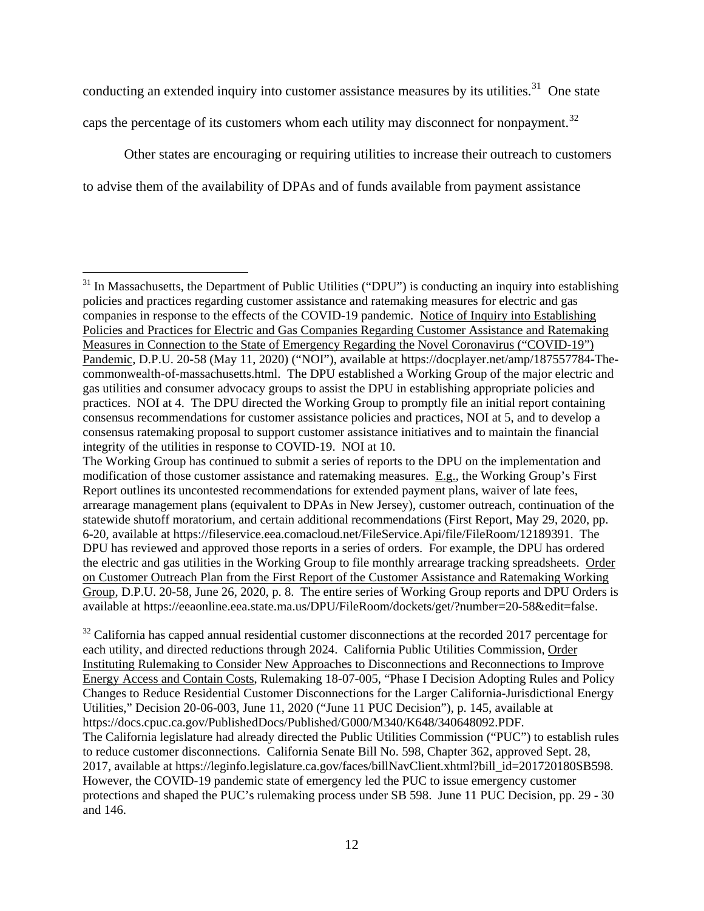conducting an extended inquiry into customer assistance measures by its utilities.<sup>[31](#page-11-0)</sup> One state caps the percentage of its customers whom each utility may disconnect for nonpayment.<sup>[32](#page-11-1)</sup>

Other states are encouraging or requiring utilities to increase their outreach to customers to advise them of the availability of DPAs and of funds available from payment assistance

 $\overline{a}$ 

<span id="page-11-1"></span> $32$  California has capped annual residential customer disconnections at the recorded 2017 percentage for each utility, and directed reductions through 2024. California Public Utilities Commission, Order Instituting Rulemaking to Consider New Approaches to Disconnections and Reconnections to Improve Energy Access and Contain Costs, Rulemaking 18-07-005, "Phase I Decision Adopting Rules and Policy Changes to Reduce Residential Customer Disconnections for the Larger California-Jurisdictional Energy Utilities," Decision 20-06-003, June 11, 2020 ("June 11 PUC Decision"), p. 145, available at [https://docs.cpuc.ca.gov/PublishedDocs/Published/G000/M340/K648/340648092.PDF.](https://docs.cpuc.ca.gov/PublishedDocs/Published/G000/M340/K648/340648092.PDF) The California legislature had already directed the Public Utilities Commission ("PUC") to establish rules to reduce customer disconnections. California Senate Bill No. 598, Chapter 362, approved Sept. 28, 2017, available at [https://leginfo.legislature.ca.gov/faces/billNavClient.xhtml?bill\\_id=201720180SB598.](https://leginfo.legislature.ca.gov/faces/billNavClient.xhtml?bill_id=201720180SB598) However, the COVID-19 pandemic state of emergency led the PUC to issue emergency customer protections and shaped the PUC's rulemaking process under SB 598. June 11 PUC Decision, pp. 29 - 30 and 146.

<span id="page-11-0"></span> $31$  In Massachusetts, the Department of Public Utilities ("DPU") is conducting an inquiry into establishing policies and practices regarding customer assistance and ratemaking measures for electric and gas companies in response to the effects of the COVID-19 pandemic. Notice of Inquiry into Establishing Policies and Practices for Electric and Gas Companies Regarding Customer Assistance and Ratemaking Measures in Connection to the State of Emergency Regarding the Novel Coronavirus ("COVID-19") Pandemic, D.P.U. 20-58 (May 11, 2020) ("NOI"), available at [https://docplayer.net/amp/187557784-The](https://docplayer.net/amp/187557784-The-commonwealth-of-massachusetts.html)[commonwealth-of-massachusetts.html.](https://docplayer.net/amp/187557784-The-commonwealth-of-massachusetts.html) The DPU established a Working Group of the major electric and gas utilities and consumer advocacy groups to assist the DPU in establishing appropriate policies and practices. NOI at 4. The DPU directed the Working Group to promptly file an initial report containing consensus recommendations for customer assistance policies and practices, NOI at 5, and to develop a consensus ratemaking proposal to support customer assistance initiatives and to maintain the financial integrity of the utilities in response to COVID-19. NOI at 10.

The Working Group has continued to submit a series of reports to the DPU on the implementation and modification of those customer assistance and ratemaking measures. E.g., the Working Group's First Report outlines its uncontested recommendations for extended payment plans, waiver of late fees, arrearage management plans (equivalent to DPAs in New Jersey), customer outreach, continuation of the statewide shutoff moratorium, and certain additional recommendations (First Report, May 29, 2020, pp. 6-20, available at [https://fileservice.eea.comacloud.net/FileService.Api/file/FileRoom/12189391.](https://fileservice.eea.comacloud.net/FileService.Api/file/FileRoom/12189391) The DPU has reviewed and approved those reports in a series of orders. For example, the DPU has ordered the electric and gas utilities in the Working Group to file monthly arrearage tracking spreadsheets. Order on Customer Outreach Plan from the First Report of the Customer Assistance and Ratemaking Working Group, D.P.U. 20-58, June 26, 2020, p. 8. The entire series of Working Group reports and DPU Orders is available at [https://eeaonline.eea.state.ma.us/DPU/FileRoom/dockets/get/?number=20-58&edit=false.](https://eeaonline.eea.state.ma.us/DPU/FileRoom/dockets/get/?number=20-58&edit=false)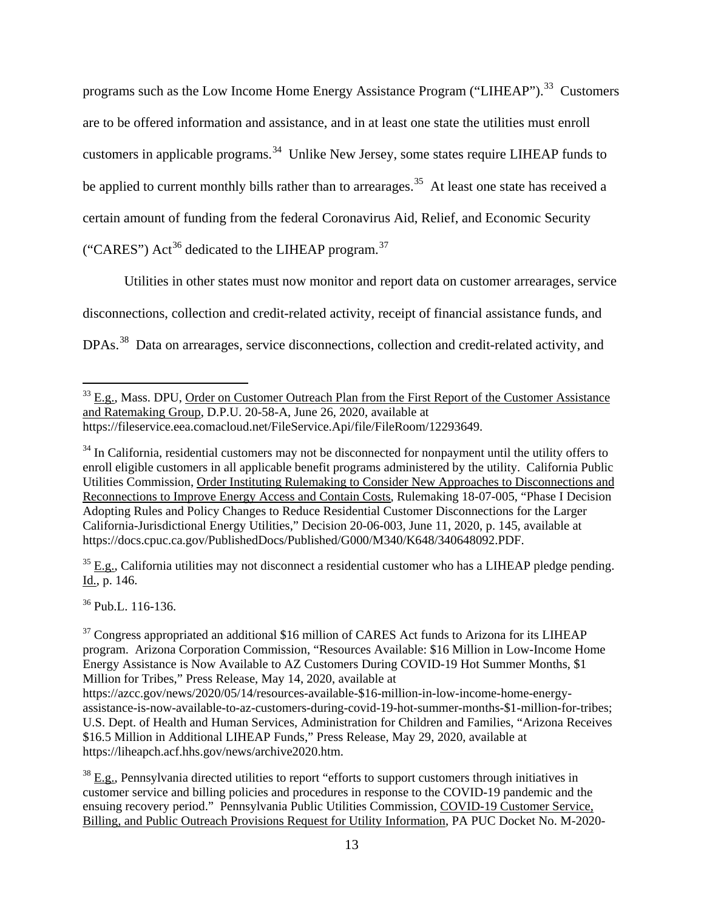programs such as the Low Income Home Energy Assistance Program ("LIHEAP").<sup>33</sup> Customers are to be offered information and assistance, and in at least one state the utilities must enroll customers in applicable programs.<sup>[34](#page-12-1)</sup> Unlike New Jersey, some states require LIHEAP funds to be applied to current monthly bills rather than to arrearages.<sup>[35](#page-12-2)</sup> At least one state has received a certain amount of funding from the federal Coronavirus Aid, Relief, and Economic Security ("CARES")  $Act^{36}$  $Act^{36}$  $Act^{36}$  dedicated to the LIHEAP program.<sup>[37](#page-12-4)</sup>

Utilities in other states must now monitor and report data on customer arrearages, service disconnections, collection and credit-related activity, receipt of financial assistance funds, and DPAs.<sup>[38](#page-12-5)</sup> Data on arrearages, service disconnections, collection and credit-related activity, and

<span id="page-12-2"></span> $35$  E.g., California utilities may not disconnect a residential customer who has a LIHEAP pledge pending. Id., p. 146.

<span id="page-12-3"></span><sup>36</sup> Pub.L. 116-136.

 $\overline{a}$ 

<span id="page-12-5"></span> $38$  E.g., Pennsylvania directed utilities to report "efforts to support customers through initiatives in customer service and billing policies and procedures in response to the COVID-19 pandemic and the ensuing recovery period." Pennsylvania Public Utilities Commission, COVID-19 Customer Service, Billing, and Public Outreach Provisions Request for Utility Information, PA PUC Docket No. M-2020-

<span id="page-12-0"></span><sup>&</sup>lt;sup>33</sup> E.g., Mass. DPU, Order on Customer Outreach Plan from the First Report of the Customer Assistance and Ratemaking Group, D.P.U. 20-58-A, June 26, 2020, available at https://fileservice.eea.comacloud.net/FileService.Api/file/FileRoom/12293649.

<span id="page-12-1"></span> $34$  In California, residential customers may not be disconnected for nonpayment until the utility offers to enroll eligible customers in all applicable benefit programs administered by the utility. California Public Utilities Commission, Order Instituting Rulemaking to Consider New Approaches to Disconnections and Reconnections to Improve Energy Access and Contain Costs, Rulemaking 18-07-005, "Phase I Decision Adopting Rules and Policy Changes to Reduce Residential Customer Disconnections for the Larger California-Jurisdictional Energy Utilities," Decision 20-06-003, June 11, 2020, p. 145, available at [https://docs.cpuc.ca.gov/PublishedDocs/Published/G000/M340/K648/340648092.PDF.](https://docs.cpuc.ca.gov/PublishedDocs/Published/G000/M340/K648/340648092.PDF)

<span id="page-12-4"></span><sup>&</sup>lt;sup>37</sup> Congress appropriated an additional \$16 million of CARES Act funds to Arizona for its LIHEAP program. Arizona Corporation Commission, "Resources Available: \$16 Million in Low-Income Home Energy Assistance is Now Available to AZ Customers During COVID-19 Hot Summer Months, \$1 Million for Tribes," Press Release, May 14, 2020, available at

[https://azcc.gov/news/2020/05/14/resources-available-\\$16-million-in-low-income-home-energy](https://azcc.gov/news/2020/05/14/resources-available-$16-million-in-low-income-home-energy-assistance-is-now-available-to-az-customers-during-covid-19-hot-summer-months-$1-million-for-tribes)[assistance-is-now-available-to-az-customers-during-covid-19-hot-summer-months-\\$1-million-for-tribes;](https://azcc.gov/news/2020/05/14/resources-available-$16-million-in-low-income-home-energy-assistance-is-now-available-to-az-customers-during-covid-19-hot-summer-months-$1-million-for-tribes) U.S. Dept. of Health and Human Services, Administration for Children and Families, "Arizona Receives \$16.5 Million in Additional LIHEAP Funds," Press Release, May 29, 2020, available at [https://liheapch.acf.hhs.gov/news/archive2020.htm.](https://liheapch.acf.hhs.gov/news/archive2020.htm)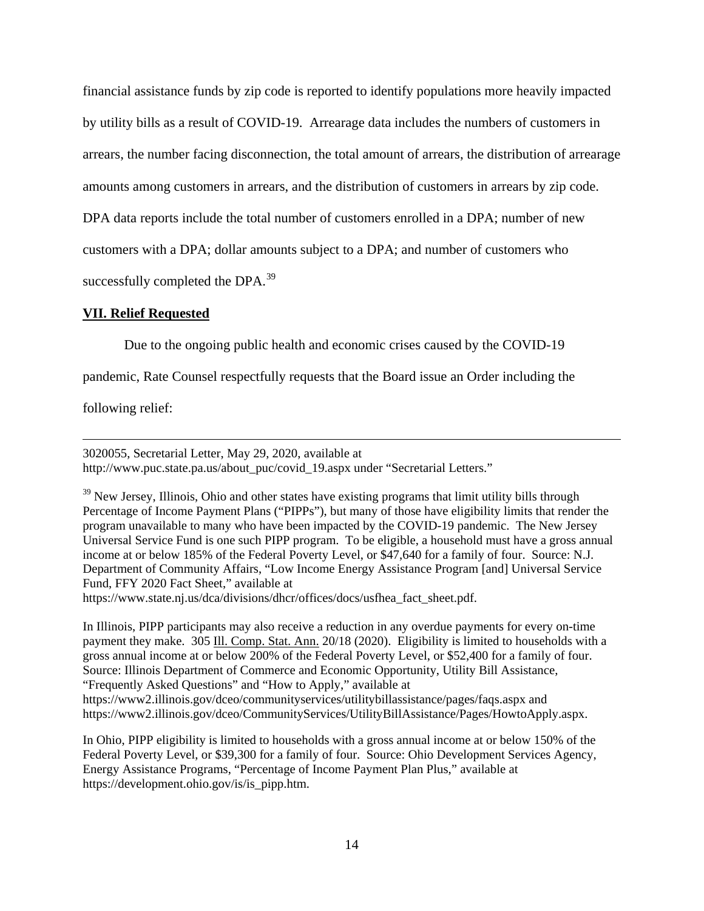financial assistance funds by zip code is reported to identify populations more heavily impacted by utility bills as a result of COVID-19. Arrearage data includes the numbers of customers in arrears, the number facing disconnection, the total amount of arrears, the distribution of arrearage amounts among customers in arrears, and the distribution of customers in arrears by zip code. DPA data reports include the total number of customers enrolled in a DPA; number of new customers with a DPA; dollar amounts subject to a DPA; and number of customers who successfully completed the DPA.<sup>[39](#page-13-0)</sup>

## **VII. Relief Requested**

Due to the ongoing public health and economic crises caused by the COVID-19

pandemic, Rate Counsel respectfully requests that the Board issue an Order including the

following relief:

 $\overline{a}$ 

3020055, Secretarial Letter, May 29, 2020, available at [http://www.puc.state.pa.us/about\\_puc/covid\\_19.aspx](http://www.puc.state.pa.us/about_puc/covid_19.aspx) under "Secretarial Letters."

<span id="page-13-0"></span> $39$  New Jersey, Illinois, Ohio and other states have existing programs that limit utility bills through Percentage of Income Payment Plans ("PIPPs"), but many of those have eligibility limits that render the program unavailable to many who have been impacted by the COVID-19 pandemic. The New Jersey Universal Service Fund is one such PIPP program. To be eligible, a household must have a gross annual income at or below 185% of the Federal Poverty Level, or \$47,640 for a family of four. Source: N.J. Department of Community Affairs, "Low Income Energy Assistance Program [and] Universal Service Fund, FFY 2020 Fact Sheet," available at

[https://www.state.nj.us/dca/divisions/dhcr/offices/docs/usfhea\\_fact\\_sheet.pdf.](https://www.state.nj.us/dca/divisions/dhcr/offices/docs/usfhea_fact_sheet.pdf)

In Illinois, PIPP participants may also receive a reduction in any overdue payments for every on-time payment they make. 305 Ill. Comp. Stat. Ann. 20/18 (2020). Eligibility is limited to households with a gross annual income at or below 200% of the Federal Poverty Level, or \$52,400 for a family of four. Source: Illinois Department of Commerce and Economic Opportunity, Utility Bill Assistance, "Frequently Asked Questions" and "How to Apply," available at <https://www2.illinois.gov/dceo/communityservices/utilitybillassistance/pages/faqs.aspx> and [https://www2.illinois.gov/dceo/CommunityServices/UtilityBillAssistance/Pages/HowtoApply.aspx.](https://www2.illinois.gov/dceo/CommunityServices/UtilityBillAssistance/Pages/HowtoApply.aspx)

In Ohio, PIPP eligibility is limited to households with a gross annual income at or below 150% of the Federal Poverty Level, or \$39,300 for a family of four. Source: Ohio Development Services Agency, Energy Assistance Programs, "Percentage of Income Payment Plan Plus," available at [https://development.ohio.gov/is/is\\_pipp.htm.](https://development.ohio.gov/is/is_pipp.htm)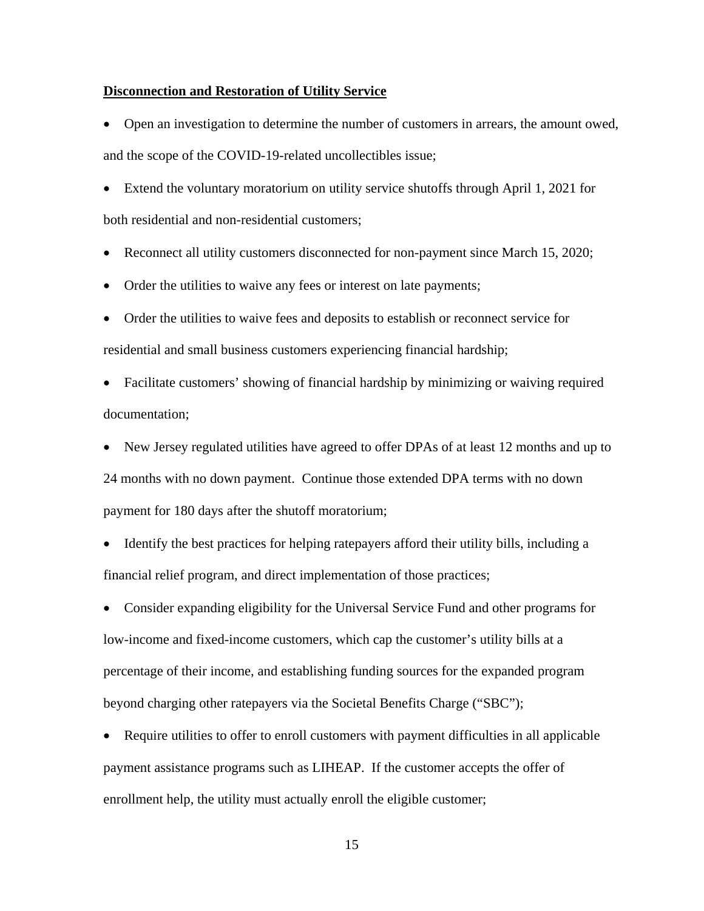## **Disconnection and Restoration of Utility Service**

• Open an investigation to determine the number of customers in arrears, the amount owed, and the scope of the COVID-19-related uncollectibles issue;

• Extend the voluntary moratorium on utility service shutoffs through April 1, 2021 for both residential and non-residential customers;

- Reconnect all utility customers disconnected for non-payment since March 15, 2020;
- Order the utilities to waive any fees or interest on late payments;
- Order the utilities to waive fees and deposits to establish or reconnect service for residential and small business customers experiencing financial hardship;
- Facilitate customers' showing of financial hardship by minimizing or waiving required documentation;
- New Jersey regulated utilities have agreed to offer DPAs of at least 12 months and up to 24 months with no down payment. Continue those extended DPA terms with no down payment for 180 days after the shutoff moratorium;
- Identify the best practices for helping ratepayers afford their utility bills, including a financial relief program, and direct implementation of those practices;

• Consider expanding eligibility for the Universal Service Fund and other programs for low-income and fixed-income customers, which cap the customer's utility bills at a percentage of their income, and establishing funding sources for the expanded program beyond charging other ratepayers via the Societal Benefits Charge ("SBC");

• Require utilities to offer to enroll customers with payment difficulties in all applicable payment assistance programs such as LIHEAP. If the customer accepts the offer of enrollment help, the utility must actually enroll the eligible customer;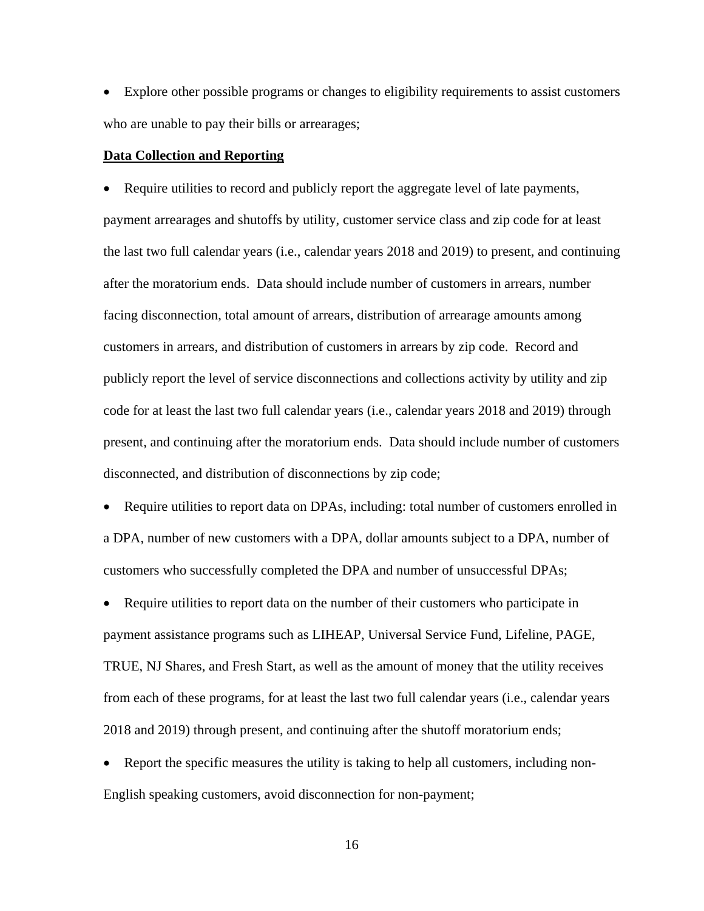• Explore other possible programs or changes to eligibility requirements to assist customers who are unable to pay their bills or arrearages;

#### **Data Collection and Reporting**

• Require utilities to record and publicly report the aggregate level of late payments, payment arrearages and shutoffs by utility, customer service class and zip code for at least the last two full calendar years (i.e., calendar years 2018 and 2019) to present, and continuing after the moratorium ends. Data should include number of customers in arrears, number facing disconnection, total amount of arrears, distribution of arrearage amounts among customers in arrears, and distribution of customers in arrears by zip code. Record and publicly report the level of service disconnections and collections activity by utility and zip code for at least the last two full calendar years (i.e., calendar years 2018 and 2019) through present, and continuing after the moratorium ends. Data should include number of customers disconnected, and distribution of disconnections by zip code;

• Require utilities to report data on DPAs, including: total number of customers enrolled in a DPA, number of new customers with a DPA, dollar amounts subject to a DPA, number of customers who successfully completed the DPA and number of unsuccessful DPAs;

• Require utilities to report data on the number of their customers who participate in payment assistance programs such as LIHEAP, Universal Service Fund, Lifeline, PAGE, TRUE, NJ Shares, and Fresh Start, as well as the amount of money that the utility receives from each of these programs, for at least the last two full calendar years (i.e., calendar years 2018 and 2019) through present, and continuing after the shutoff moratorium ends;

• Report the specific measures the utility is taking to help all customers, including non-English speaking customers, avoid disconnection for non-payment;

16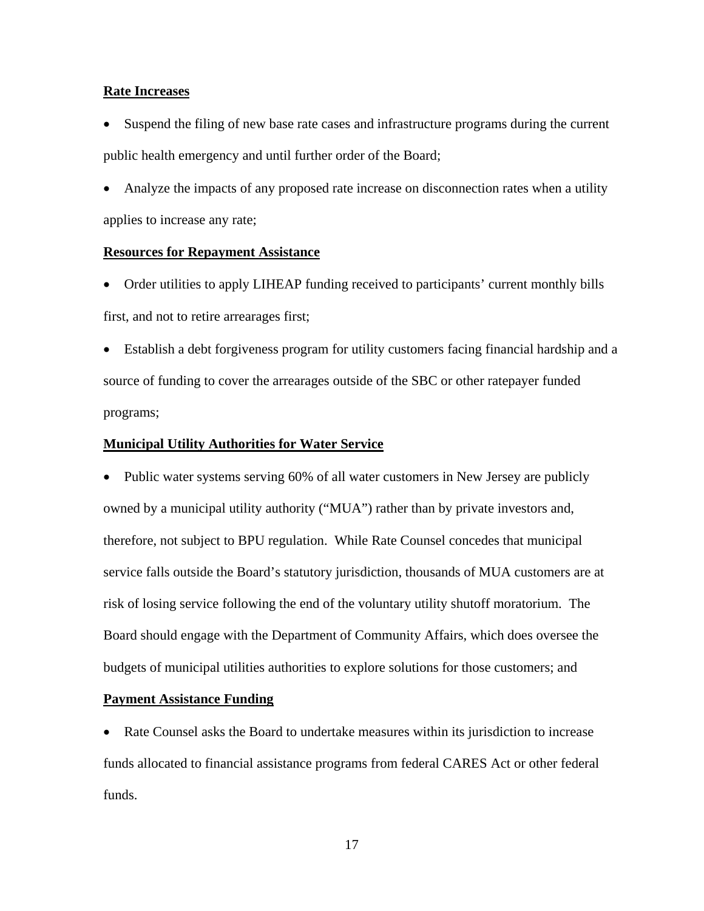## **Rate Increases**

• Suspend the filing of new base rate cases and infrastructure programs during the current public health emergency and until further order of the Board;

• Analyze the impacts of any proposed rate increase on disconnection rates when a utility applies to increase any rate;

#### **Resources for Repayment Assistance**

• Order utilities to apply LIHEAP funding received to participants' current monthly bills first, and not to retire arrearages first;

• Establish a debt forgiveness program for utility customers facing financial hardship and a source of funding to cover the arrearages outside of the SBC or other ratepayer funded programs;

## **Municipal Utility Authorities for Water Service**

• Public water systems serving 60% of all water customers in New Jersey are publicly owned by a municipal utility authority ("MUA") rather than by private investors and, therefore, not subject to BPU regulation. While Rate Counsel concedes that municipal service falls outside the Board's statutory jurisdiction, thousands of MUA customers are at risk of losing service following the end of the voluntary utility shutoff moratorium. The Board should engage with the Department of Community Affairs, which does oversee the budgets of municipal utilities authorities to explore solutions for those customers; and

## **Payment Assistance Funding**

• Rate Counsel asks the Board to undertake measures within its jurisdiction to increase funds allocated to financial assistance programs from federal CARES Act or other federal funds.

17